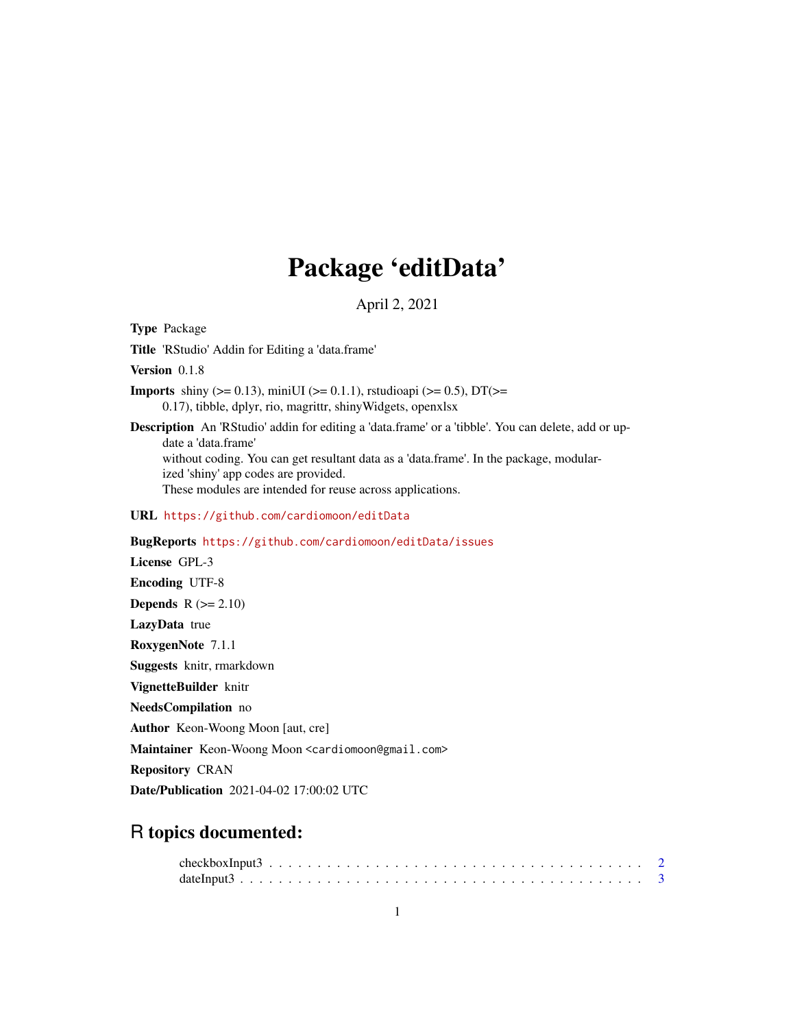## Package 'editData'

April 2, 2021

Type Package Title 'RStudio' Addin for Editing a 'data.frame' Version 0.1.8 **Imports** shiny ( $>= 0.13$ ), miniUI ( $>= 0.1.1$ ), rstudioapi ( $>= 0.5$ ), DT( $>=$ 0.17), tibble, dplyr, rio, magrittr, shinyWidgets, openxlsx Description An 'RStudio' addin for editing a 'data.frame' or a 'tibble'. You can delete, add or update a 'data.frame' without coding. You can get resultant data as a 'data.frame'. In the package, modularized 'shiny' app codes are provided. These modules are intended for reuse across applications. URL <https://github.com/cardiomoon/editData> BugReports <https://github.com/cardiomoon/editData/issues> License GPL-3 Encoding UTF-8 Depends  $R (= 2.10)$ LazyData true RoxygenNote 7.1.1 Suggests knitr, rmarkdown VignetteBuilder knitr NeedsCompilation no Author Keon-Woong Moon [aut, cre] Maintainer Keon-Woong Moon <cardiomoon@gmail.com> Repository CRAN Date/Publication 2021-04-02 17:00:02 UTC

### R topics documented: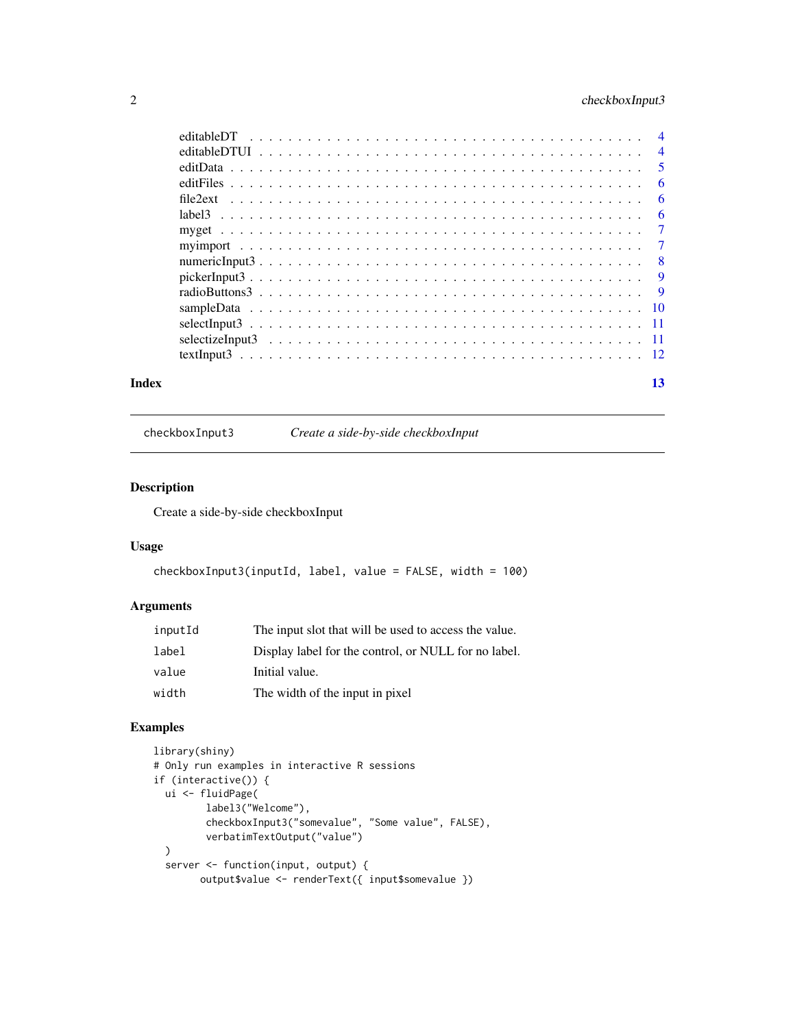#### <span id="page-1-0"></span>2 checkboxInput3

|       | - 6 |
|-------|-----|
|       |     |
|       |     |
|       |     |
|       |     |
|       |     |
|       |     |
|       |     |
|       |     |
|       |     |
| Index | 13  |

checkboxInput3 *Create a side-by-side checkboxInput*

#### Description

Create a side-by-side checkboxInput

#### Usage

```
checkboxInput3(inputId, label, value = FALSE, width = 100)
```
#### Arguments

| inputId | The input slot that will be used to access the value. |
|---------|-------------------------------------------------------|
| label   | Display label for the control, or NULL for no label.  |
| value   | Initial value.                                        |
| width   | The width of the input in pixel                       |

```
library(shiny)
# Only run examples in interactive R sessions
if (interactive()) {
  ui <- fluidPage(
        label3("Welcome"),
         checkboxInput3("somevalue", "Some value", FALSE),
        verbatimTextOutput("value")
  )
  server <- function(input, output) {
       output$value <- renderText({ input$somevalue })
```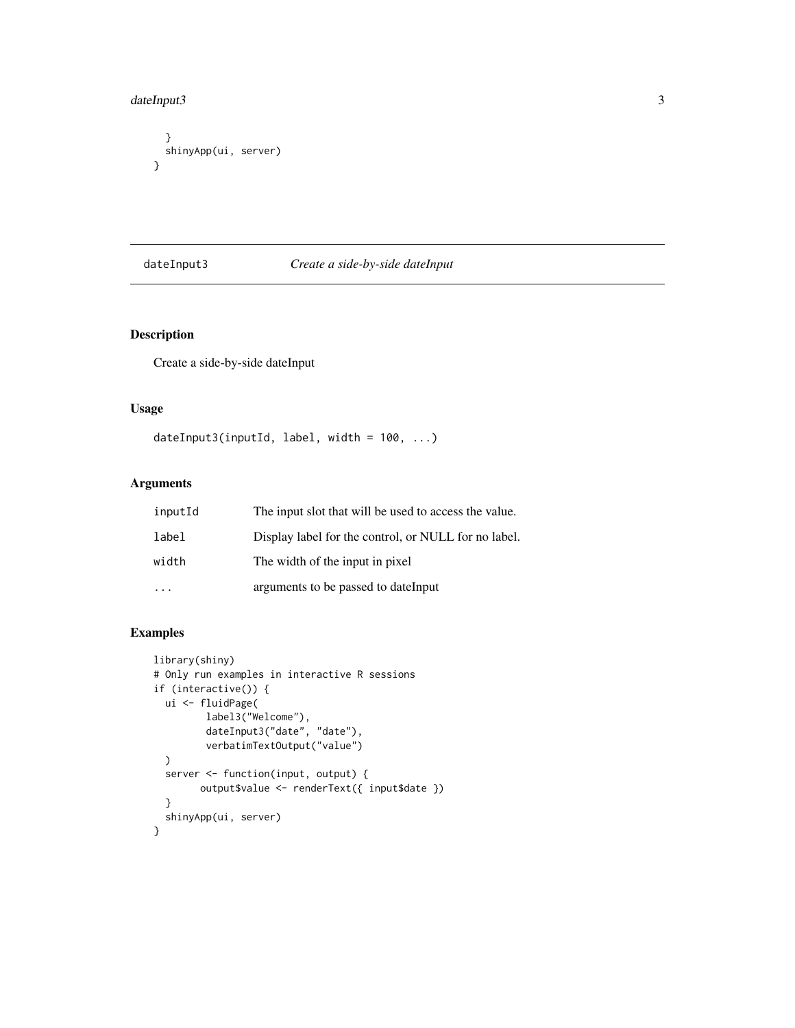#### <span id="page-2-0"></span>dateInput3 3

```
}
 shinyApp(ui, server)
}
```
#### dateInput3 *Create a side-by-side dateInput*

#### Description

Create a side-by-side dateInput

#### Usage

```
dateInput3(inputId, label, width = 100, ...)
```
#### Arguments

| inputId | The input slot that will be used to access the value. |
|---------|-------------------------------------------------------|
| label   | Display label for the control, or NULL for no label.  |
| width   | The width of the input in pixel                       |
|         | arguments to be passed to date Input                  |

```
library(shiny)
# Only run examples in interactive R sessions
if (interactive()) {
  ui <- fluidPage(
         label3("Welcome"),
         dateInput3("date", "date"),
         verbatimTextOutput("value")
  \mathcal{L}server <- function(input, output) {
        output$value <- renderText({ input$date })
  }
  shinyApp(ui, server)
}
```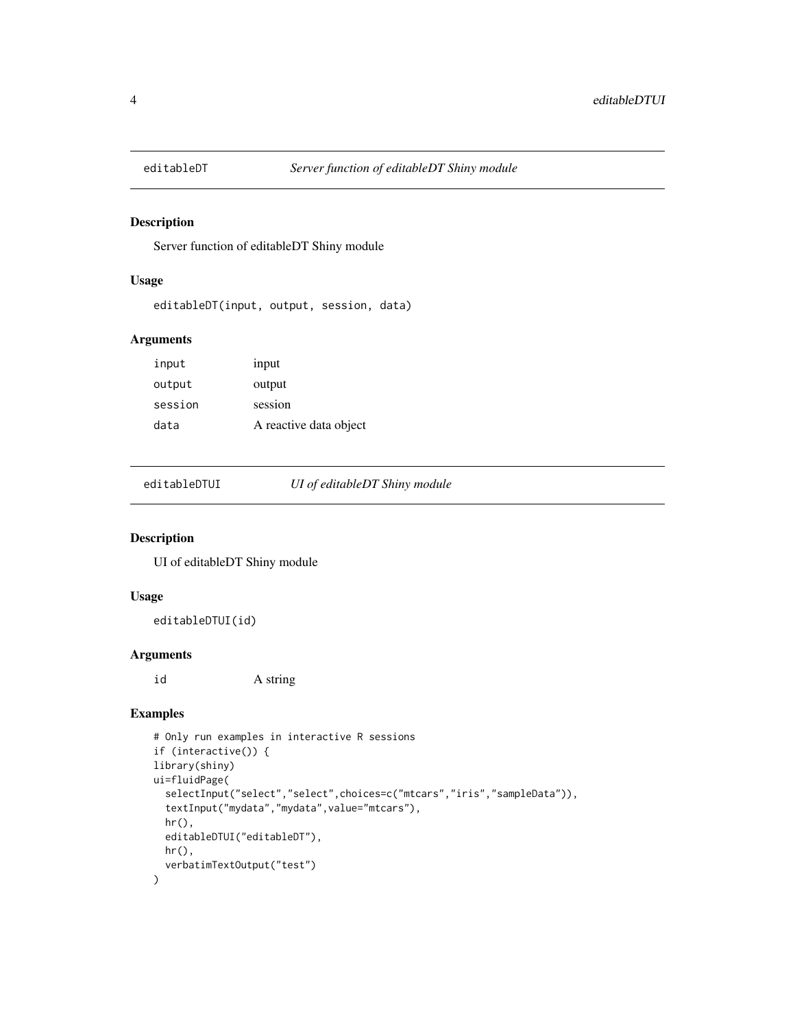<span id="page-3-0"></span>

#### Description

Server function of editableDT Shiny module

#### Usage

```
editableDT(input, output, session, data)
```
#### Arguments

| input   | input                  |
|---------|------------------------|
| output  | output                 |
| session | session                |
| data    | A reactive data object |

editableDTUI *UI of editableDT Shiny module*

#### Description

UI of editableDT Shiny module

#### Usage

editableDTUI(id)

#### Arguments

id A string

```
# Only run examples in interactive R sessions
if (interactive()) {
library(shiny)
ui=fluidPage(
  selectInput("select","select",choices=c("mtcars","iris","sampleData")),
  textInput("mydata","mydata",value="mtcars"),
  hr(),
  editableDTUI("editableDT"),
  hr(),
  verbatimTextOutput("test")
)
```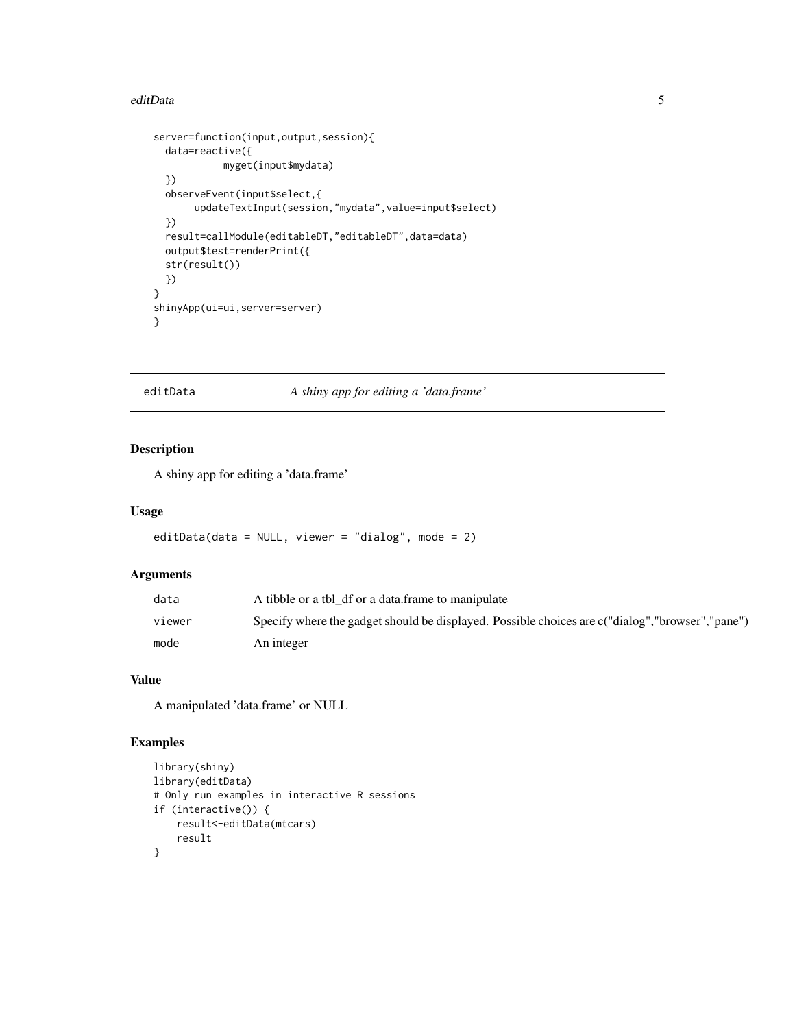#### <span id="page-4-0"></span>editData 5

```
server=function(input,output,session){
 data=reactive({
           myget(input$mydata)
 })
 observeEvent(input$select,{
      updateTextInput(session,"mydata",value=input$select)
 })
 result=callModule(editableDT,"editableDT",data=data)
 output$test=renderPrint({
 str(result())
 })
}
shinyApp(ui=ui,server=server)
}
```
editData *A shiny app for editing a 'data.frame'*

#### Description

A shiny app for editing a 'data.frame'

#### Usage

```
editData(data = NULL, viewer = "dialog", mode = 2)
```
#### Arguments

| data   | A tibble or a tbl df or a data frame to manipulate                                                |
|--------|---------------------------------------------------------------------------------------------------|
| viewer | Specify where the gadget should be displayed. Possible choices are c("dialog", "browser", "pane") |
| mode   | An integer                                                                                        |

#### Value

A manipulated 'data.frame' or NULL

```
library(shiny)
library(editData)
# Only run examples in interactive R sessions
if (interactive()) {
   result<-editData(mtcars)
   result
}
```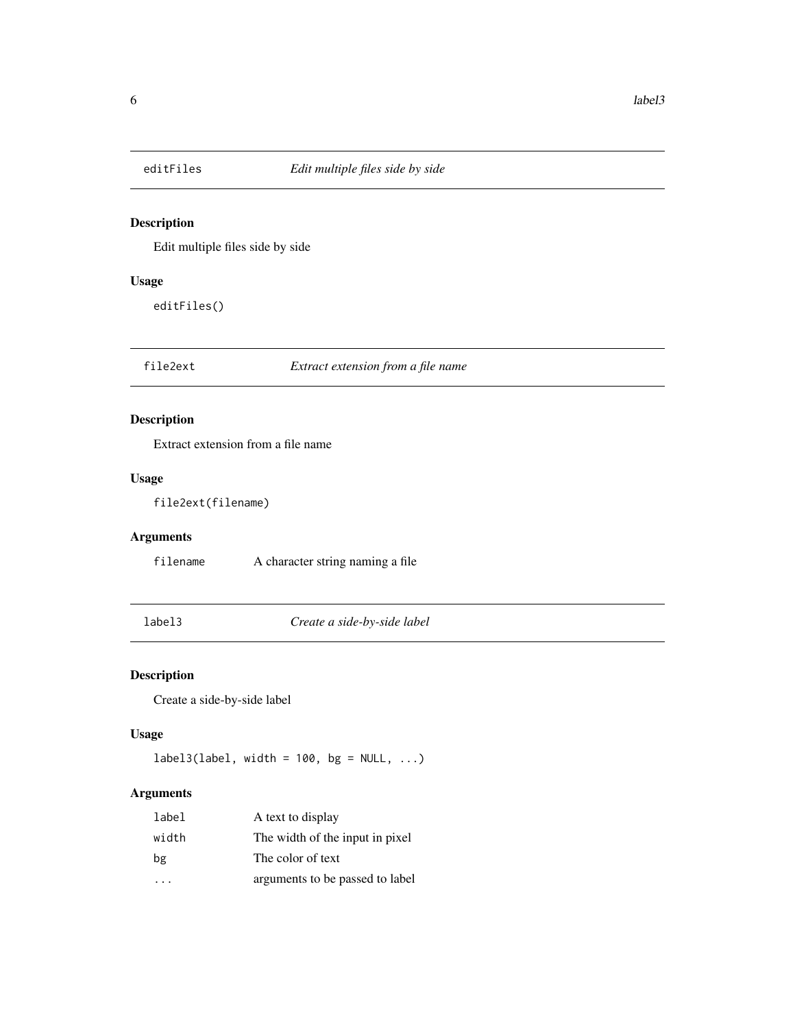<span id="page-5-0"></span>

#### Description

Edit multiple files side by side

#### Usage

editFiles()

file2ext *Extract extension from a file name*

#### Description

Extract extension from a file name

#### Usage

file2ext(filename)

#### Arguments

filename A character string naming a file

label3 *Create a side-by-side label*

#### Description

Create a side-by-side label

#### Usage

 $label3(label, width = 100, bg = NULL, ...)$ 

#### Arguments

| label | A text to display               |
|-------|---------------------------------|
| width | The width of the input in pixel |
| bg    | The color of text               |
|       | arguments to be passed to label |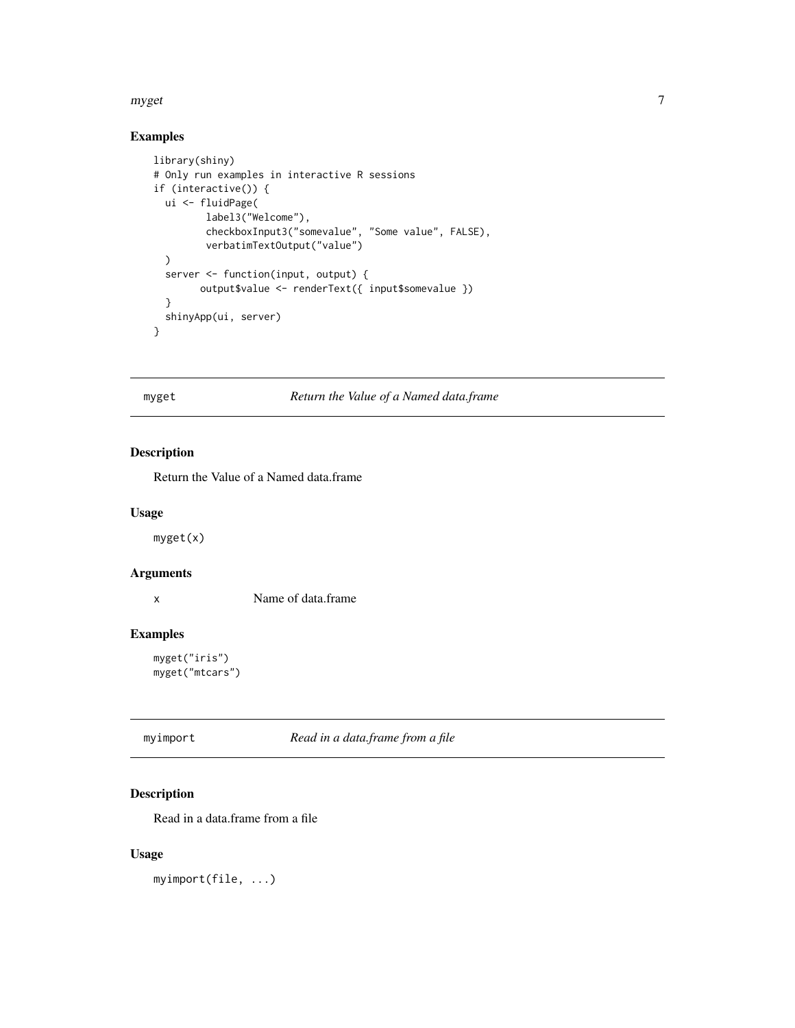#### <span id="page-6-0"></span>myget the contract of the contract of the contract of the contract of the contract of the contract of the contract of the contract of the contract of the contract of the contract of the contract of the contract of the cont

#### Examples

```
library(shiny)
# Only run examples in interactive R sessions
if (interactive()) {
  ui <- fluidPage(
         label3("Welcome"),
         checkboxInput3("somevalue", "Some value", FALSE),
         verbatimTextOutput("value")
  )
  server <- function(input, output) {
        output$value <- renderText({ input$somevalue })
  }
  shinyApp(ui, server)
}
```
myget *Return the Value of a Named data.frame*

#### Description

Return the Value of a Named data.frame

#### Usage

myget(x)

#### Arguments

x Name of data.frame

#### Examples

myget("iris") myget("mtcars")

myimport *Read in a data.frame from a file*

#### Description

Read in a data.frame from a file

#### Usage

myimport(file, ...)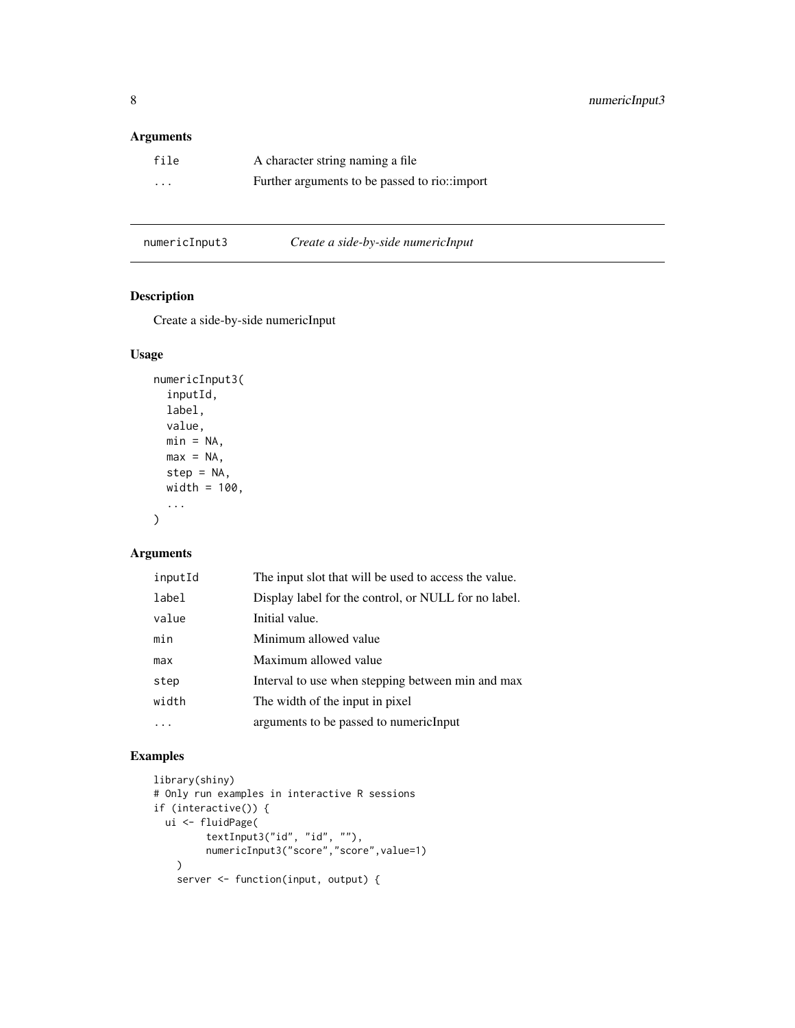#### <span id="page-7-0"></span>Arguments

| file     | A character string naming a file              |
|----------|-----------------------------------------------|
| $\cdots$ | Further arguments to be passed to rio::import |

| numericInput3 | Create a side-by-side numericInput |
|---------------|------------------------------------|
|               |                                    |

#### Description

Create a side-by-side numericInput

#### Usage

```
numericInput3(
  inputId,
  label,
  value,
  min = NA,
  max = NA,
  step = NA,
  width = 100,
  ...
\mathcal{L}
```
#### Arguments

| inputId | The input slot that will be used to access the value. |
|---------|-------------------------------------------------------|
| label   | Display label for the control, or NULL for no label.  |
| value   | Initial value.                                        |
| min     | Minimum allowed value                                 |
| max     | Maximum allowed value                                 |
| step    | Interval to use when stepping between min and max     |
| width   | The width of the input in pixel                       |
|         | arguments to be passed to numericInput                |
|         |                                                       |

```
library(shiny)
# Only run examples in interactive R sessions
if (interactive()) {
 ui <- fluidPage(
        textInput3("id", "id", ""),
         numericInput3("score","score",value=1)
   \lambdaserver <- function(input, output) {
```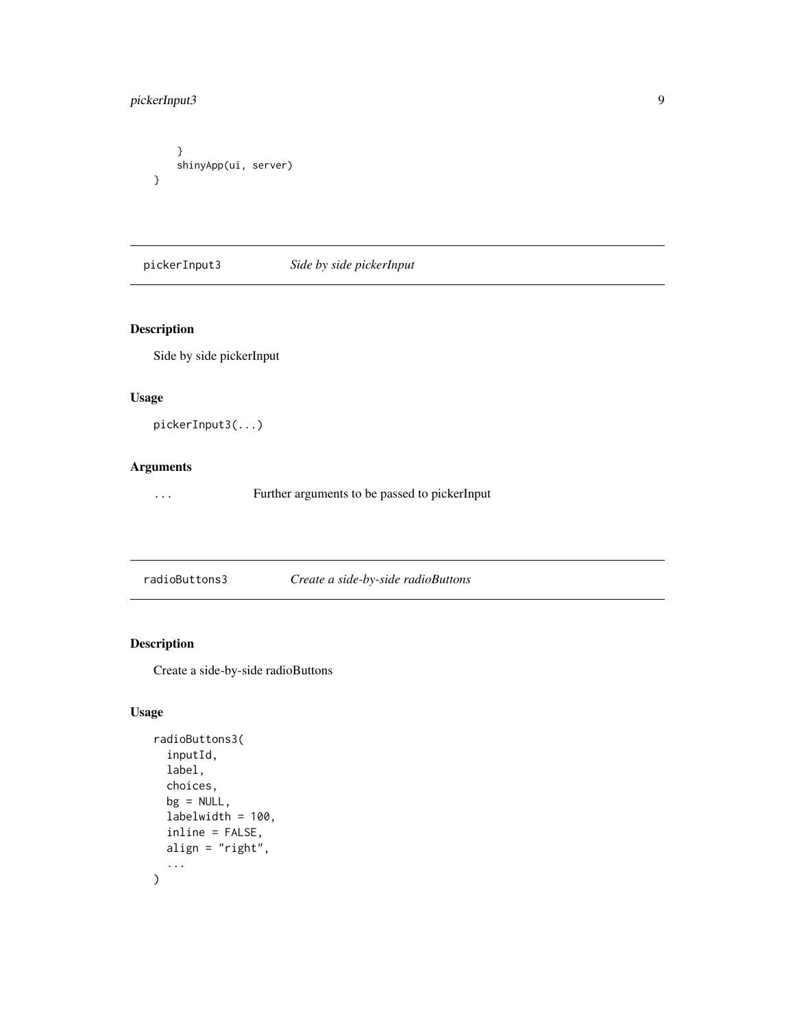#### <span id="page-8-0"></span>pickerInput3 9

```
}
    shinyApp(ui, server)
}
```
pickerInput3 *Side by side pickerInput*

#### Description

Side by side pickerInput

#### Usage

pickerInput3(...)

#### Arguments

... Further arguments to be passed to pickerInput

radioButtons3 *Create a side-by-side radioButtons*

#### Description

Create a side-by-side radioButtons

#### Usage

```
radioButtons3(
  inputId,
  label,
  choices,
  bg = NULL,labelwidth = 100,
  inline = FALSE,
  align = "right",
  ...
\overline{\phantom{a}}
```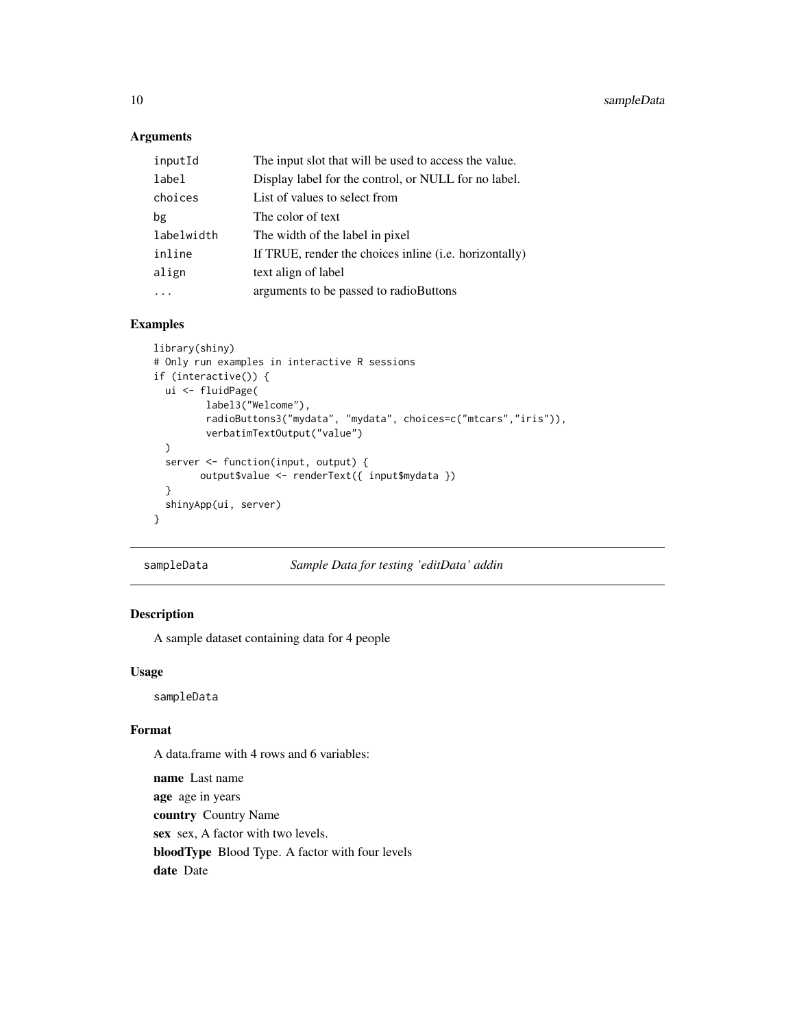#### Arguments

| inputId    | The input slot that will be used to access the value.   |
|------------|---------------------------------------------------------|
| label      | Display label for the control, or NULL for no label.    |
| choices    | List of values to select from                           |
| bg         | The color of text                                       |
| labelwidth | The width of the label in pixel                         |
| inline     | If TRUE, render the choices in line (i.e. horizontally) |
| align      | text align of label                                     |
|            | arguments to be passed to radioButtons                  |

#### Examples

```
library(shiny)
# Only run examples in interactive R sessions
if (interactive()) {
  ui <- fluidPage(
         label3("Welcome"),
         radioButtons3("mydata", "mydata", choices=c("mtcars","iris")),
         verbatimTextOutput("value")
  \mathcal{L}server <- function(input, output) {
        output$value <- renderText({ input$mydata })
  }
  shinyApp(ui, server)
}
```
sampleData *Sample Data for testing 'editData' addin*

#### Description

A sample dataset containing data for 4 people

#### Usage

sampleData

#### Format

A data.frame with 4 rows and 6 variables:

name Last name age age in years country Country Name sex sex, A factor with two levels. bloodType Blood Type. A factor with four levels date Date

<span id="page-9-0"></span>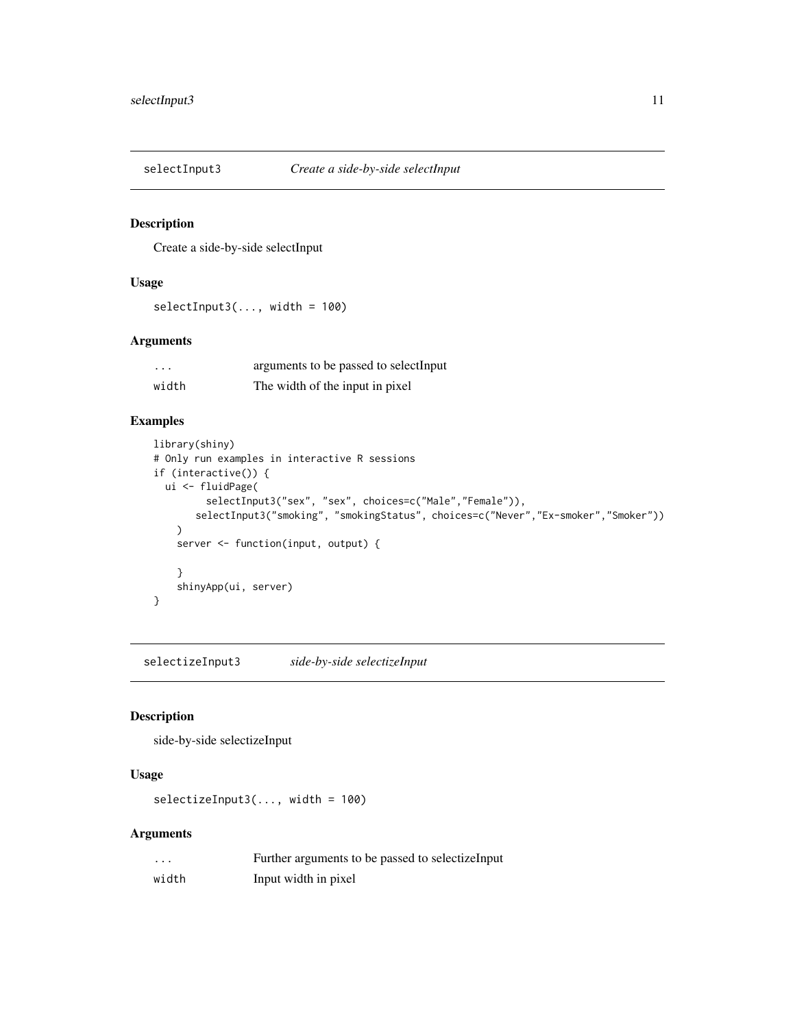<span id="page-10-0"></span>

#### Description

Create a side-by-side selectInput

#### Usage

 $selectInput3(..., width = 100)$ 

#### Arguments

| $\cdots$ | arguments to be passed to selectInput |
|----------|---------------------------------------|
| width    | The width of the input in pixel       |

#### Examples

```
library(shiny)
# Only run examples in interactive R sessions
if (interactive()) {
  ui <- fluidPage(
         selectInput3("sex", "sex", choices=c("Male","Female")),
       selectInput3("smoking", "smokingStatus", choices=c("Never","Ex-smoker","Smoker"))
   )
    server <- function(input, output) {
    }
    shinyApp(ui, server)
}
```
selectizeInput3 *side-by-side selectizeInput*

#### Description

side-by-side selectizeInput

#### Usage

```
selectizeInput3(..., width = 100)
```
#### Arguments

| .     | Further arguments to be passed to selectize Input |
|-------|---------------------------------------------------|
| width | Input width in pixel                              |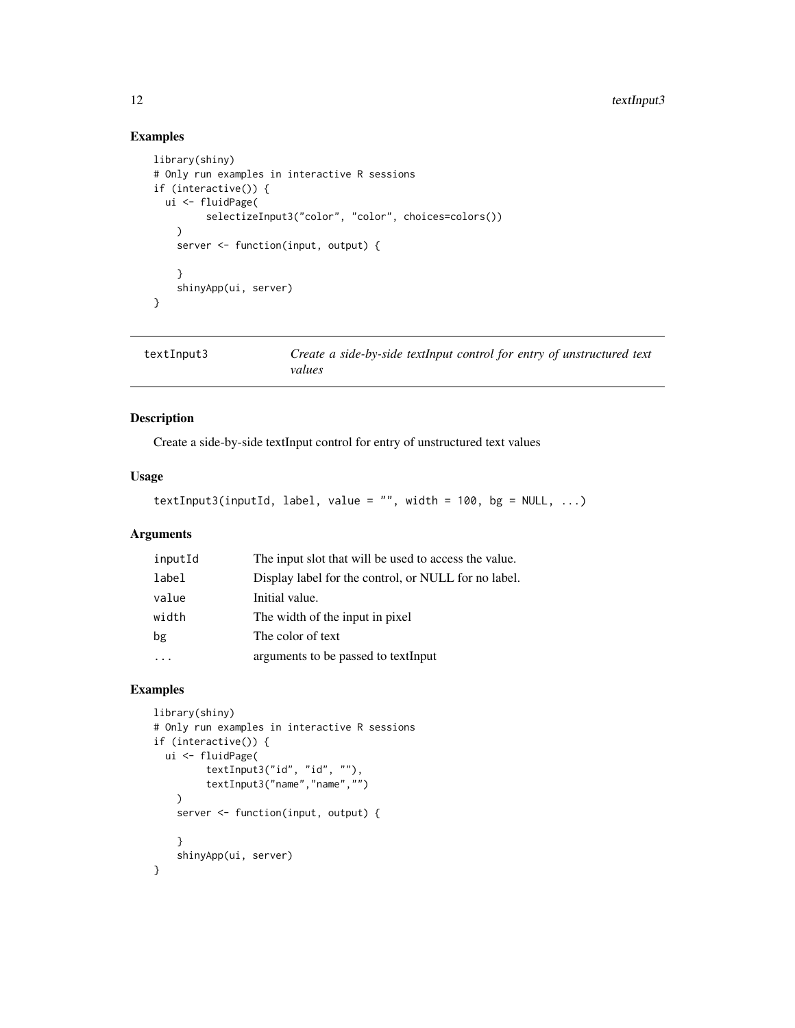#### Examples

```
library(shiny)
# Only run examples in interactive R sessions
if (interactive()) {
  ui <- fluidPage(
         selectizeInput3("color", "color", choices=colors())
    \lambdaserver <- function(input, output) {
    }
    shinyApp(ui, server)
}
```
textInput3 *Create a side-by-side textInput control for entry of unstructured text values*

#### Description

Create a side-by-side textInput control for entry of unstructured text values

#### Usage

```
textInput3(inputId, label, value = ", width = 100, bg = NULL, ...)
```
#### Arguments

| inputId | The input slot that will be used to access the value. |
|---------|-------------------------------------------------------|
| label   | Display label for the control, or NULL for no label.  |
| value   | Initial value.                                        |
| width   | The width of the input in pixel                       |
| bg      | The color of text                                     |
|         | arguments to be passed to textInput                   |

```
library(shiny)
# Only run examples in interactive R sessions
if (interactive()) {
  ui <- fluidPage(
         textInput3("id", "id", ""),
         textInput3("name","name","")
    \lambdaserver <- function(input, output) {
    }
    shinyApp(ui, server)
}
```
<span id="page-11-0"></span>